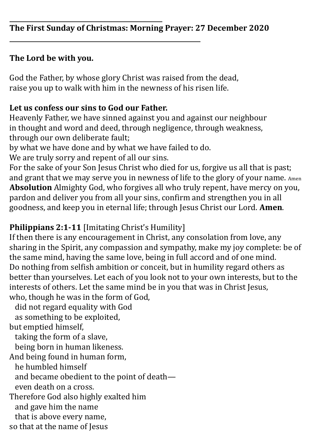## **The Lord be with you.**

God the Father, by whose glory Christ was raised from the dead, raise you up to walk with him in the newness of his risen life.

## **Let us confess our sins to God our Father.**

Heavenly Father, we have sinned against you and against our neighbour in thought and word and deed, through negligence, through weakness, through our own deliberate fault;

by what we have done and by what we have failed to do.

We are truly sorry and repent of all our sins.

For the sake of your Son Jesus Christ who died for us, forgive us all that is past; and grant that we may serve you in newness of life to the glory of your name. Amen **Absolution** Almighty God, who forgives all who truly repent, have mercy on you, pardon and deliver you from all your sins, confirm and strengthen you in all goodness, and keep you in eternal life; through Jesus Christ our Lord. **Amen**.

# **Philippians 2:1-11** [Imitating Christ's Humility]

If then there is any encouragement in Christ, any consolation from love, any sharing in the Spirit, any compassion and sympathy, make my joy complete: be of the same mind, having the same love, being in full accord and of one mind. Do nothing from selfish ambition or conceit, but in humility regard others as better than yourselves. Let each of you look not to your own interests, but to the interests of others. Let the same mind be in you that was in Christ Jesus, who, though he was in the form of God,

 did not regard equality with God as something to be exploited,

# but emptied himself,

taking the form of a slave,

being born in human likeness.

# And being found in human form,

he humbled himself

and became obedient to the point of death—

even death on a cross.

Therefore God also highly exalted him and gave him the name that is above every name,

so that at the name of Jesus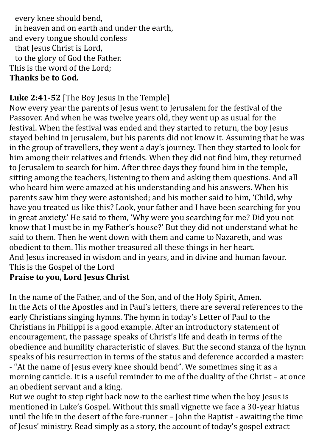every knee should bend, in heaven and on earth and under the earth, and every tongue should confess that Jesus Christ is Lord, to the glory of God the Father. This is the word of the Lord; **Thanks be to God.**

## **Luke 2:41-52** [The Boy Jesus in the Temple]

Now every year the parents of Jesus went to Jerusalem for the festival of the Passover. And when he was twelve years old, they went up as usual for the festival. When the festival was ended and they started to return, the boy Jesus stayed behind in Jerusalem, but his parents did not know it. Assuming that he was in the group of travellers, they went a day's journey. Then they started to look for him among their relatives and friends. When they did not find him, they returned to Jerusalem to search for him. After three days they found him in the temple, sitting among the teachers, listening to them and asking them questions. And all who heard him were amazed at his understanding and his answers. When his parents saw him they were astonished; and his mother said to him, 'Child, why have you treated us like this? Look, your father and I have been searching for you in great anxiety.' He said to them, 'Why were you searching for me? Did you not know that I must be in my Father's house?' But they did not understand what he said to them. Then he went down with them and came to Nazareth, and was obedient to them. His mother treasured all these things in her heart. And Jesus increased in wisdom and in years, and in divine and human favour. This is the Gospel of the Lord

#### **Praise to you, Lord Jesus Christ**

In the name of the Father, and of the Son, and of the Holy Spirit, Amen. In the Acts of the Apostles and in Paul's letters, there are several references to the early Christians singing hymns. The hymn in today's Letter of Paul to the Christians in Philippi is a good example. After an introductory statement of encouragement, the passage speaks of Christ's life and death in terms of the obedience and humility characteristic of slaves. But the second stanza of the hymn speaks of his resurrection in terms of the status and deference accorded a master: - "At the name of Jesus every knee should bend". We sometimes sing it as a morning canticle. It is a useful reminder to me of the duality of the Christ – at once an obedient servant and a king.

But we ought to step right back now to the earliest time when the boy Jesus is mentioned in Luke's Gospel. Without this small vignette we face a 30-year hiatus until the life in the desert of the fore-runner – John the Baptist - awaiting the time of Jesus' ministry. Read simply as a story, the account of today's gospel extract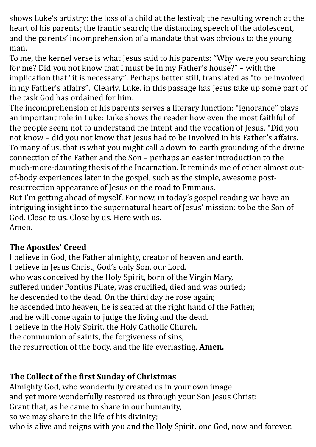shows Luke's artistry: the loss of a child at the festival; the resulting wrench at the heart of his parents; the frantic search; the distancing speech of the adolescent, and the parents' incomprehension of a mandate that was obvious to the young man.

To me, the kernel verse is what Jesus said to his parents: "Why were you searching for me? Did you not know that I must be in my Father's house?" – with the implication that "it is necessary". Perhaps better still, translated as "to be involved in my Father's affairs". Clearly, Luke, in this passage has Jesus take up some part of the task God has ordained for him.

The incomprehension of his parents serves a literary function: "ignorance" plays an important role in Luke: Luke shows the reader how even the most faithful of the people seem not to understand the intent and the vocation of Jesus. "Did you not know – did you not know that Jesus had to be involved in his Father's affairs. To many of us, that is what you might call a down-to-earth grounding of the divine connection of the Father and the Son – perhaps an easier introduction to the much-more-daunting thesis of the Incarnation. It reminds me of other almost outof-body experiences later in the gospel, such as the simple, awesome postresurrection appearance of Jesus on the road to Emmaus.

But I'm getting ahead of myself. For now, in today's gospel reading we have an intriguing insight into the supernatural heart of Jesus' mission: to be the Son of God. Close to us. Close by us. Here with us. Amen.

## **The Apostles' Creed**

I believe in God, the Father almighty, creator of heaven and earth. I believe in Jesus Christ, God's only Son, our Lord. who was conceived by the Holy Spirit, born of the Virgin Mary, suffered under Pontius Pilate, was crucified, died and was buried; he descended to the dead. On the third day he rose again; he ascended into heaven, he is seated at the right hand of the Father, and he will come again to judge the living and the dead. I believe in the Holy Spirit, the Holy Catholic Church, the communion of saints, the forgiveness of sins, the resurrection of the body, and the life everlasting. **Amen.** 

# **The Collect of the first Sunday of Christmas**

Almighty God, who wonderfully created us in your own image and yet more wonderfully restored us through your Son Jesus Christ: Grant that, as he came to share in our humanity, so we may share in the life of his divinity; who is alive and reigns with you and the Holy Spirit. one God, now and forever.